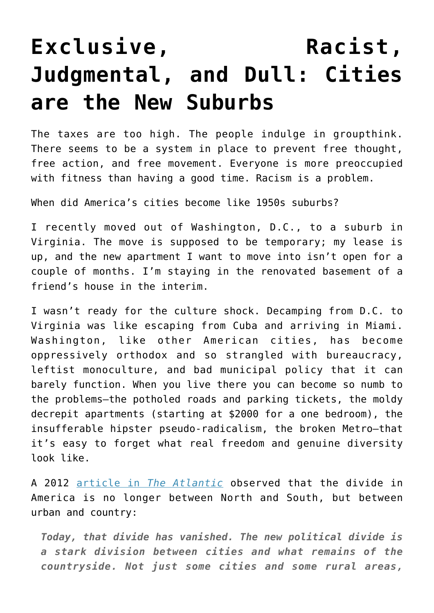## **[Exclusive, Racist,](https://intellectualtakeout.org/2016/03/exclusive-racist-judgmental-and-dull-cities-are-the-new-suburbs/) [Judgmental, and Dull: Cities](https://intellectualtakeout.org/2016/03/exclusive-racist-judgmental-and-dull-cities-are-the-new-suburbs/) [are the New Suburbs](https://intellectualtakeout.org/2016/03/exclusive-racist-judgmental-and-dull-cities-are-the-new-suburbs/)**

The taxes are too high. The people indulge in groupthink. There seems to be a system in place to prevent free thought, free action, and free movement. Everyone is more preoccupied with fitness than having a good time. Racism is a problem.

When did America's cities become like 1950s suburbs?

I recently moved out of Washington, D.C., to a suburb in Virginia. The move is supposed to be temporary; my lease is up, and the new apartment I want to move into isn't open for a couple of months. I'm staying in the renovated basement of a friend's house in the interim.

I wasn't ready for the culture shock. Decamping from D.C. to Virginia was like escaping from Cuba and arriving in Miami. Washington, like other American cities, has become oppressively orthodox and so strangled with bureaucracy, leftist monoculture, and bad municipal policy that it can barely function. When you live there you can become so numb to the problems—the potholed roads and parking tickets, the moldy decrepit apartments (starting at \$2000 for a one bedroom), the insufferable hipster pseudo-radicalism, the broken Metro—that it's easy to forget what real freedom and genuine diversity look like.

A 2012 [article in](http://www.theatlantic.com/politics/archive/2012/11/red-state-blue-city-how-the-urban-rural-divide-is-splitting-america/265686/) *[The Atlantic](http://www.theatlantic.com/politics/archive/2012/11/red-state-blue-city-how-the-urban-rural-divide-is-splitting-america/265686/)* observed that the divide in America is no longer between North and South, but between urban and country:

*Today, that divide has vanished. The new political divide is a stark division between cities and what remains of the countryside. Not just some cities and some rural areas,*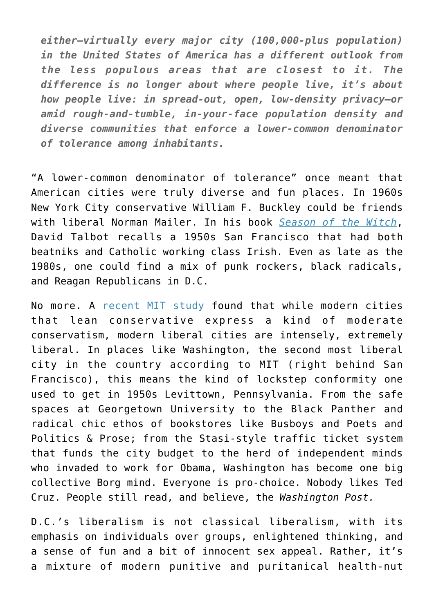*either—virtually every major city (100,000-plus population) in the United States of America has a different outlook from the less populous areas that are closest to it. The difference is no longer about where people live, it's about how people live: in spread-out, open, low-density privacy—or amid rough-and-tumble, in-your-face population density and diverse communities that enforce a lower-common denominator of tolerance among inhabitants.*

"A lower-common denominator of tolerance" once meant that American cities were truly diverse and fun places. In 1960s New York City conservative William F. Buckley could be friends with liberal Norman Mailer. In his book *[Season of the Witch](http://www.amazon.com/Season-Witch-Enchantment-Terror-Deliverance-ebook/dp/B005C6FDFY/ref=sr_1_3?ie=UTF8&qid=1457877862&sr=8-3&keywords=season+of+the+witch)*, David Talbot recalls a 1950s San Francisco that had both beatniks and Catholic working class Irish. Even as late as the 1980s, one could find a mix of punk rockers, black radicals, and Reagan Republicans in D.C.

No more. A [recent MIT study](http://www.economist.com/blogs/graphicdetail/2014/08/daily-chart-0) found that while modern cities that lean conservative express a kind of moderate conservatism, modern liberal cities are intensely, extremely liberal. In places like Washington, the second most liberal city in the country according to MIT (right behind San Francisco), this means the kind of lockstep conformity one used to get in 1950s Levittown, Pennsylvania. From the safe spaces at Georgetown University to the Black Panther and radical chic ethos of bookstores like Busboys and Poets and Politics & Prose; from the Stasi-style traffic ticket system that funds the city budget to the herd of independent minds who invaded to work for Obama, Washington has become one big collective Borg mind. Everyone is pro-choice. Nobody likes Ted Cruz. People still read, and believe, the *Washington Post.*

D.C.'s liberalism is not classical liberalism, with its emphasis on individuals over groups, enlightened thinking, and a sense of fun and a bit of innocent sex appeal. Rather, it's a mixture of modern punitive and puritanical health-nut